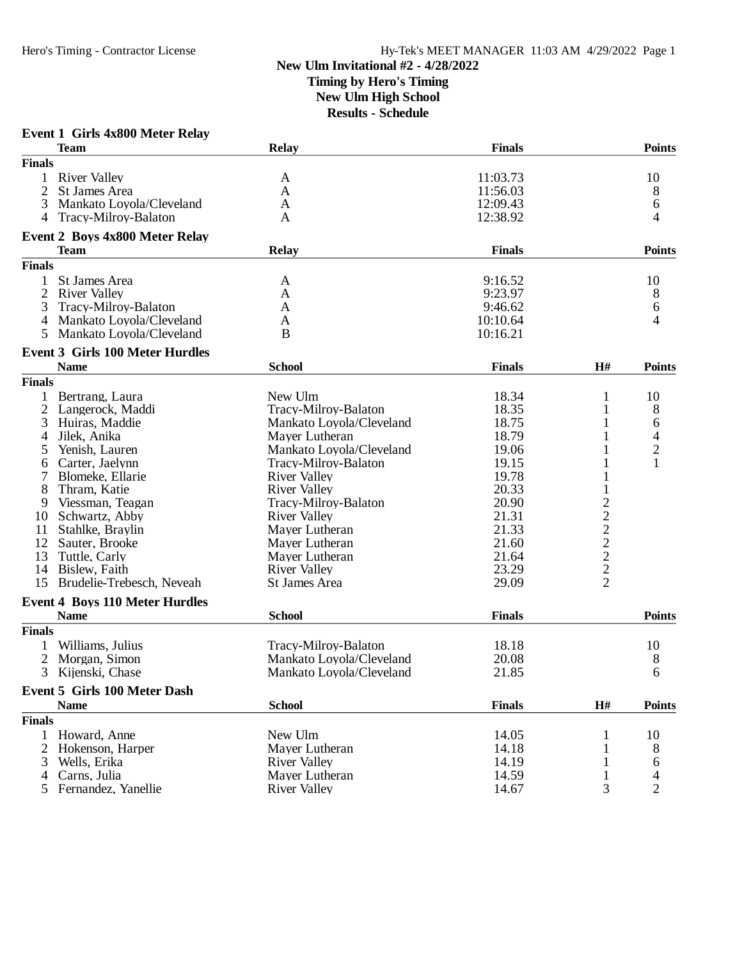### **New Ulm Invitational #2 - 4/28/2022 Timing by Hero's Timing New Ulm High School Results - Schedule**

|                | <b>Event 1 Girls 4x800 Meter Relay</b>               |                          |               |                |                |
|----------------|------------------------------------------------------|--------------------------|---------------|----------------|----------------|
|                | <b>Team</b>                                          | <b>Relay</b>             | <b>Finals</b> |                | <b>Points</b>  |
| <b>Finals</b>  |                                                      |                          |               |                |                |
|                | <b>River Valley</b>                                  | A                        | 11:03.73      |                | 10             |
| $\overline{2}$ | St James Area                                        | A                        | 11:56.03      |                | 8              |
| 3              | Mankato Loyola/Cleveland                             | A                        | 12:09.43      |                | 6              |
| 4              | Tracy-Milroy-Balaton                                 | A                        | 12:38.92      |                | 4              |
|                |                                                      |                          |               |                |                |
|                | <b>Event 2 Boys 4x800 Meter Relay</b><br><b>Team</b> | <b>Relay</b>             | <b>Finals</b> |                | <b>Points</b>  |
| <b>Finals</b>  |                                                      |                          |               |                |                |
|                |                                                      |                          |               |                |                |
|                | St James Area                                        | A                        | 9:16.52       |                | 10             |
| 2              | <b>River Valley</b>                                  | A                        | 9:23.97       |                | 8              |
| 3              | Tracy-Milroy-Balaton                                 | A                        | 9:46.62       |                | 6              |
|                | 4 Mankato Loyola/Cleveland                           | A                        | 10:10.64      |                | 4              |
| 5              | Mankato Loyola/Cleveland                             | B                        | 10:16.21      |                |                |
|                | <b>Event 3 Girls 100 Meter Hurdles</b>               |                          |               |                |                |
|                | <b>Name</b>                                          | <b>School</b>            | <b>Finals</b> | H#             | <b>Points</b>  |
| <b>Finals</b>  |                                                      |                          |               |                |                |
|                | Bertrang, Laura                                      | New Ulm                  | 18.34         | 1              | 10             |
| 2              | Langerock, Maddi                                     | Tracy-Milroy-Balaton     | 18.35         | 1              | 8              |
| 3              | Huiras, Maddie                                       | Mankato Loyola/Cleveland | 18.75         | 1              | 6              |
| 4              | Jilek, Anika                                         | Mayer Lutheran           | 18.79         |                | 4              |
| 5              | Yenish, Lauren                                       | Mankato Loyola/Cleveland | 19.06         |                | $\overline{c}$ |
| 6              | Carter, Jaelynn                                      | Tracy-Milroy-Balaton     | 19.15         |                | $\mathbf{1}$   |
| 7              | Blomeke, Ellarie                                     | <b>River Valley</b>      | 19.78         |                |                |
| 8              | Thram, Katie                                         | <b>River Valley</b>      | 20.33         |                |                |
| 9              | Viessman, Teagan                                     | Tracy-Milroy-Balaton     | 20.90         |                |                |
| 10             | Schwartz, Abby                                       | <b>River Valley</b>      | 21.31         |                |                |
| 11             | Stahlke, Braylin                                     | Mayer Lutheran           | 21.33         |                |                |
| 12             | Sauter, Brooke                                       | Mayer Lutheran           | 21.60         | 2 2 2 2 2 2    |                |
| 13             |                                                      | Mayer Lutheran           | 21.64         |                |                |
|                | Tuttle, Carly                                        |                          |               |                |                |
| 14             | Bislew, Faith                                        | <b>River Valley</b>      | 23.29         | $\overline{2}$ |                |
| 15             | Brudelie-Trebesch, Neveah                            | St James Area            | 29.09         |                |                |
|                | <b>Event 4 Boys 110 Meter Hurdles</b>                |                          |               |                |                |
|                | <b>Name</b>                                          | <b>School</b>            | <b>Finals</b> |                | <b>Points</b>  |
| <b>Finals</b>  |                                                      |                          |               |                |                |
|                | Williams, Julius                                     | Tracy-Milroy-Balaton     | 18.18         |                | 10             |
| 2              | Morgan, Simon                                        | Mankato Loyola/Cleveland | 20.08         |                | 8              |
|                | 3 Kijenski, Chase                                    | Mankato Loyola/Cleveland | 21.85         |                | 6              |
|                | <b>Event 5 Girls 100 Meter Dash</b>                  |                          |               |                |                |
|                | <b>Name</b>                                          | <b>School</b>            | <b>Finals</b> | H#             | <b>Points</b>  |
| <b>Finals</b>  |                                                      |                          |               |                |                |
| 1              | Howard, Anne                                         | New Ulm                  | 14.05         | 1              | 10             |
|                | 2 Hokenson, Harper                                   | Mayer Lutheran           | 14.18         | 1              | 8              |
| 3              | Wells, Erika                                         | <b>River Valley</b>      | 14.19         |                | 6              |
| 4              | Carns, Julia                                         | Mayer Lutheran           | 14.59         | 1              | 4              |
|                | 5 Fernandez, Yanellie                                | <b>River Valley</b>      | 14.67         | 3              | $\overline{2}$ |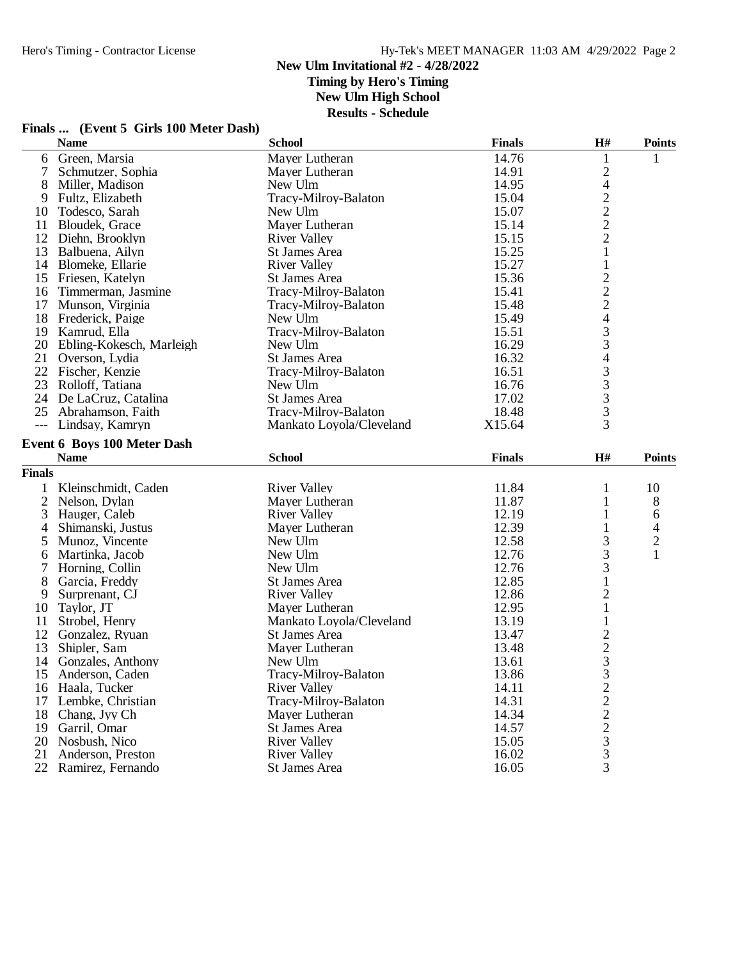### **New Ulm Invitational #2 - 4/28/2022 Timing by Hero's Timing**

**New Ulm High School**

| Finals  (Event 5 Girls 100 Meter Dash) |  |
|----------------------------------------|--|
|----------------------------------------|--|

|                | <b>Name</b>                 | <b>School</b>            | <b>Finals</b> | H#                                                | <b>Points</b> |
|----------------|-----------------------------|--------------------------|---------------|---------------------------------------------------|---------------|
| 6              | Green, Marsia               | Mayer Lutheran           | 14.76         |                                                   | 1             |
| 7              | Schmutzer, Sophia           | Mayer Lutheran           | 14.91         | $\sqrt{2}$                                        |               |
| 8              | Miller, Madison             | New Ulm                  | 14.95         |                                                   |               |
| 9              | Fultz, Elizabeth            | Tracy-Milroy-Balaton     | 15.04         |                                                   |               |
| 10             | Todesco, Sarah              | New Ulm                  | 15.07         |                                                   |               |
| 11             | Bloudek, Grace              | Mayer Lutheran           | 15.14         | $\begin{array}{c}\n4 \\ 2 \\ 2 \\ 2\n\end{array}$ |               |
| 12             | Diehn, Brooklyn             | <b>River Valley</b>      | 15.15         |                                                   |               |
| 13             | Balbuena, Ailyn             | St James Area            | 15.25         | $\mathbf 1$                                       |               |
|                | 14 Blomeke, Ellarie         | <b>River Valley</b>      | 15.27         | $\mathbf{1}$                                      |               |
| 15             | Friesen, Katelyn            | St James Area            | 15.36         |                                                   |               |
| 16             | Timmerman, Jasmine          | Tracy-Milroy-Balaton     | 15.41         | $\frac{2}{2}$                                     |               |
| 17             | Munson, Virginia            | Tracy-Milroy-Balaton     | 15.48         | $\overline{2}$                                    |               |
| 18             | Frederick, Paige            | New Ulm                  | 15.49         | $\overline{\mathcal{A}}$                          |               |
| 19             | Kamrud, Ella                | Tracy-Milroy-Balaton     | 15.51         |                                                   |               |
| 20             | Ebling-Kokesch, Marleigh    | New Ulm                  | 16.29         | $\frac{3}{3}$                                     |               |
| 21             | Overson, Lydia              | St James Area            | 16.32         | $\overline{4}$                                    |               |
| 22             | Fischer, Kenzie             | Tracy-Milroy-Balaton     | 16.51         |                                                   |               |
| 23             | Rolloff, Tatiana            | New Ulm                  | 16.76         |                                                   |               |
| 24             | De LaCruz, Catalina         | <b>St James Area</b>     | 17.02         |                                                   |               |
| 25             | Abrahamson, Faith           | Tracy-Milroy-Balaton     | 18.48         | $\begin{array}{c}\n3 \\ 3 \\ 3 \\ 3\n\end{array}$ |               |
| $---$          | Lindsay, Kamryn             | Mankato Loyola/Cleveland | X15.64        |                                                   |               |
|                |                             |                          |               |                                                   |               |
|                | Event 6 Boys 100 Meter Dash | <b>School</b>            |               |                                                   |               |
|                | <b>Name</b>                 |                          | <b>Finals</b> | H#                                                | <b>Points</b> |
| <b>Finals</b>  |                             |                          |               |                                                   |               |
| 1              | Kleinschmidt, Caden         | <b>River Valley</b>      | 11.84         | 1                                                 | 10            |
| $\mathfrak{2}$ | Nelson, Dylan               | Mayer Lutheran           | 11.87         | $\mathbf{1}$                                      | 8             |
| 3              | Hauger, Caleb               | <b>River Valley</b>      | 12.19         | $\mathbf{1}$                                      | 6             |
| 4              | Shimanski, Justus           | Mayer Lutheran           | 12.39         |                                                   | 4             |
| 5              | Munoz, Vincente             | New Ulm                  | 12.58         | 3                                                 | $\frac{2}{1}$ |
| 6              | Martinka, Jacob             | New Ulm                  | 12.76         | $\overline{3}$                                    |               |
| 7              | Horning, Collin             | New Ulm                  | 12.76         | $\mathfrak{Z}$                                    |               |
| 8              | Garcia, Freddy              | St James Area            | 12.85         | $\mathbf 1$                                       |               |
| 9              | Surprenant, CJ              | <b>River Valley</b>      | 12.86         | $\frac{2}{1}$                                     |               |
| 10             | Taylor, JT                  | Mayer Lutheran           | 12.95         |                                                   |               |
| 11             | Strobel, Henry              | Mankato Loyola/Cleveland | 13.19         | $\mathbf{1}$                                      |               |
| 12             | Gonzalez, Ryuan             | <b>St James Area</b>     | 13.47         | $\frac{2}{3}$                                     |               |
| 13             | Shipler, Sam                | Mayer Lutheran           | 13.48         |                                                   |               |
| 14             | Gonzales, Anthony           | New Ulm                  | 13.61         |                                                   |               |
| 15             | Anderson, Caden             | Tracy-Milroy-Balaton     | 13.86         | 3                                                 |               |
| 16             | Haala, Tucker               | <b>River Valley</b>      | 14.11         | $\overline{c}$                                    |               |
| 17             | Lembke, Christian           | Tracy-Milroy-Balaton     | 14.31         |                                                   |               |
| 18             | Chang, Jyy Ch               | Mayer Lutheran           | 14.34         | $\begin{array}{c} 2 \\ 2 \\ 2 \\ 3 \end{array}$   |               |
| 19             | Garril, Omar                | St James Area            | 14.57         |                                                   |               |
| 20             | Nosbush, Nico               | <b>River Valley</b>      | 15.05         |                                                   |               |
| 21             | Anderson, Preston           | <b>River Valley</b>      | 16.02         | $\mathfrak 3$                                     |               |
|                | 22 Ramirez, Fernando        | St James Area            | 16.05         | 3                                                 |               |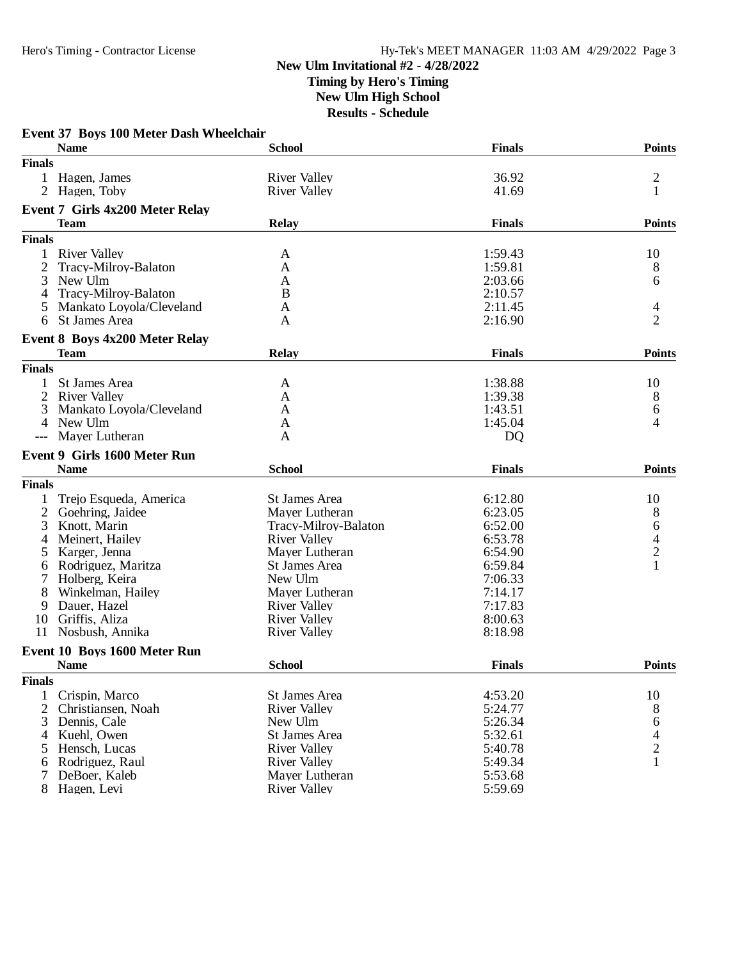### **New Ulm Invitational #2 - 4/28/2022 Timing by Hero's Timing New Ulm High School Results - Schedule**

|                | <b>Name</b>                            | <b>School</b>                         | <b>Finals</b>      | <b>Points</b>                              |
|----------------|----------------------------------------|---------------------------------------|--------------------|--------------------------------------------|
| <b>Finals</b>  |                                        |                                       |                    |                                            |
|                | Hagen, James                           | <b>River Valley</b>                   | 36.92              | $\overline{\mathbf{c}}$                    |
| 2              | Hagen, Toby                            | <b>River Valley</b>                   | 41.69              | $\mathbf{1}$                               |
|                | <b>Event 7 Girls 4x200 Meter Relay</b> |                                       |                    |                                            |
|                | <b>Team</b>                            | <b>Relay</b>                          | <b>Finals</b>      | <b>Points</b>                              |
| <b>Finals</b>  |                                        |                                       |                    |                                            |
| 1              | <b>River Valley</b>                    | A                                     | 1:59.43            | 10                                         |
| $\overline{2}$ | Tracy-Milroy-Balaton                   | A                                     | 1:59.81            | 8                                          |
| 3              | New Ulm                                | A                                     | 2:03.66            | 6                                          |
| 4              | Tracy-Milroy-Balaton                   | B                                     | 2:10.57            |                                            |
| 5              | Mankato Loyola/Cleveland               | A                                     | 2:11.45            | 4                                          |
| 6              | St James Area                          | A                                     | 2:16.90            | $\overline{2}$                             |
|                | <b>Event 8 Boys 4x200 Meter Relay</b>  |                                       |                    |                                            |
|                | <b>Team</b>                            | <b>Relay</b>                          | <b>Finals</b>      | <b>Points</b>                              |
| <b>Finals</b>  |                                        |                                       |                    |                                            |
| 1              | St James Area                          | A                                     | 1:38.88            | 10                                         |
| $\overline{2}$ | <b>River Valley</b>                    | A                                     | 1:39.38            | 8                                          |
| 3              | Mankato Loyola/Cleveland               | A                                     | 1:43.51            | 6                                          |
| 4              | New Ulm                                | A                                     | 1:45.04            | 4                                          |
| $---$          | Mayer Lutheran                         | A                                     | <b>DQ</b>          |                                            |
|                | <b>Event 9 Girls 1600 Meter Run</b>    |                                       |                    |                                            |
|                | <b>Name</b>                            | <b>School</b>                         | <b>Finals</b>      | <b>Points</b>                              |
| <b>Finals</b>  |                                        |                                       |                    |                                            |
|                | Trejo Esqueda, America                 | St James Area                         | 6:12.80            | 10                                         |
| $\overline{c}$ | Goehring, Jaidee                       | Mayer Lutheran                        | 6:23.05            | 8                                          |
| 3              | Knott, Marin                           | Tracy-Milroy-Balaton                  | 6:52.00            | 6                                          |
| 4              | Meinert, Hailey                        | <b>River Valley</b>                   | 6:53.78            |                                            |
| 5              | Karger, Jenna                          | Mayer Lutheran                        | 6:54.90            | $\begin{array}{c} 4 \\ 2 \\ 1 \end{array}$ |
| 6              | Rodriguez, Maritza                     | St James Area                         | 6:59.84            |                                            |
|                | Holberg, Keira                         | New Ulm                               | 7:06.33            |                                            |
| 8              | Winkelman, Hailey                      | Mayer Lutheran                        | 7:14.17            |                                            |
| 9              | Dauer, Hazel                           | <b>River Valley</b>                   | 7:17.83            |                                            |
| 10             | Griffis, Aliza                         | <b>River Valley</b>                   | 8:00.63            |                                            |
|                | 11 Nosbush, Annika                     | <b>River Valley</b>                   | 8:18.98            |                                            |
|                | Event 10 Boys 1600 Meter Run           |                                       |                    |                                            |
|                | <b>Name</b>                            | <b>School</b>                         | <b>Finals</b>      | Points                                     |
| <b>Finals</b>  |                                        |                                       |                    |                                            |
| 1              | Crispin, Marco                         | St James Area                         | 4:53.20            | 10                                         |
| $\mathfrak{2}$ | Christiansen, Noah                     | <b>River Valley</b>                   | 5:24.77            | 8                                          |
| 3              | Dennis, Cale                           | New Ulm                               | 5:26.34            | 6                                          |
|                | Kuehl, Owen                            | St James Area                         | 5:32.61            |                                            |
|                |                                        |                                       |                    |                                            |
| 4              |                                        |                                       |                    |                                            |
| 5              | Hensch, Lucas                          | <b>River Valley</b>                   | 5:40.78            | $\frac{4}{2}$                              |
| 6              | Rodriguez, Raul<br>DeBoer, Kaleb       | <b>River Valley</b><br>Mayer Lutheran | 5:49.34<br>5:53.68 | $\mathbf{1}$                               |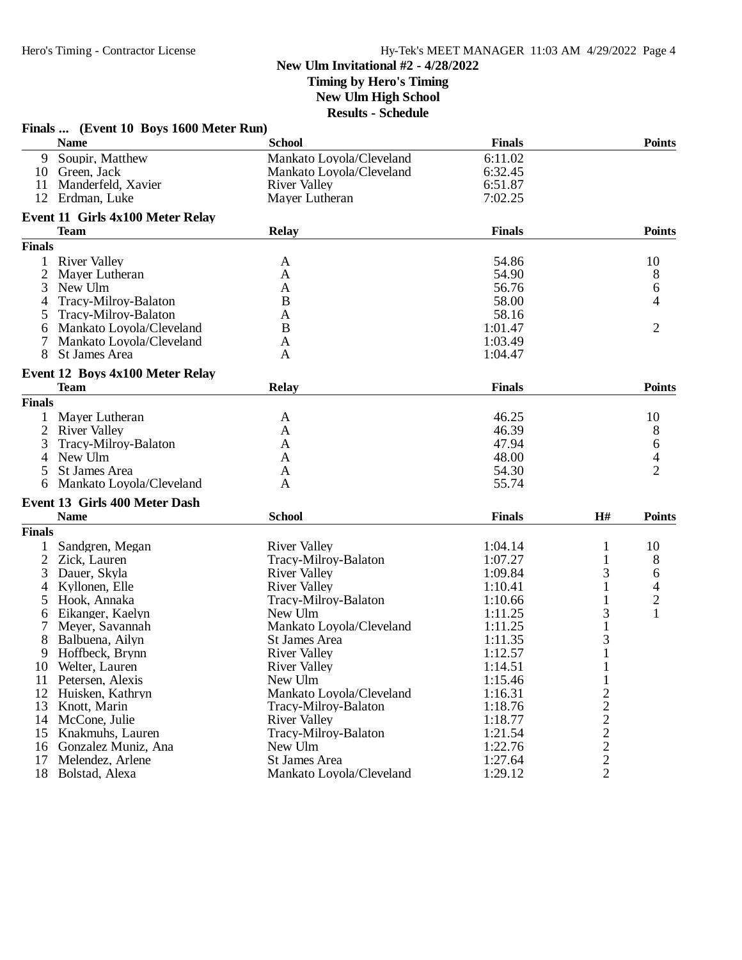### **New Ulm Invitational #2 - 4/28/2022 Timing by Hero's Timing New Ulm High School**

|               | Finals  (Event 10 Boys 1600 Meter Run) |                          |                    |                                |                          |
|---------------|----------------------------------------|--------------------------|--------------------|--------------------------------|--------------------------|
|               | <b>Name</b>                            | <b>School</b>            | <b>Finals</b>      |                                | <b>Points</b>            |
| 9             | Soupir, Matthew                        | Mankato Loyola/Cleveland | 6:11.02            |                                |                          |
| 10            | Green, Jack                            | Mankato Loyola/Cleveland | 6:32.45            |                                |                          |
| 11            | Manderfeld, Xavier                     | <b>River Valley</b>      | 6:51.87            |                                |                          |
| 12            | Erdman, Luke                           | Mayer Lutheran           | 7:02.25            |                                |                          |
|               | Event 11 Girls 4x100 Meter Relay       |                          |                    |                                |                          |
|               | <b>Team</b>                            | <b>Relay</b>             | <b>Finals</b>      |                                | <b>Points</b>            |
| <b>Finals</b> |                                        |                          |                    |                                |                          |
| 1             | <b>River Valley</b>                    | A                        | 54.86              |                                | 10                       |
| 2             | Mayer Lutheran                         | A                        | 54.90              |                                | 8                        |
| 3             | New Ulm                                | A                        | 56.76              |                                | 6                        |
| 4             | Tracy-Milroy-Balaton                   | B                        | 58.00              |                                | 4                        |
| 5             | Tracy-Milroy-Balaton                   | Α                        | 58.16              |                                |                          |
|               |                                        |                          |                    |                                |                          |
| 6             | Mankato Loyola/Cleveland               | B                        | 1:01.47            |                                | 2                        |
|               | Mankato Loyola/Cleveland               | $\mathbf{A}$             | 1:03.49            |                                |                          |
| 8             | St James Area                          | A                        | 1:04.47            |                                |                          |
|               | Event 12 Boys 4x100 Meter Relay        |                          |                    |                                |                          |
|               | <b>Team</b>                            | <b>Relay</b>             | <b>Finals</b>      |                                | <b>Points</b>            |
| <b>Finals</b> |                                        |                          |                    |                                |                          |
|               | Mayer Lutheran                         | A                        | 46.25              |                                | 10                       |
| 2             | <b>River Valley</b>                    | A                        | 46.39              |                                | 8                        |
| 3             | Tracy-Milroy-Balaton                   | A                        | 47.94              |                                | 6                        |
| 4             | New Ulm                                | A                        | 48.00              |                                | $\overline{\mathcal{L}}$ |
| 5             | St James Area                          | A                        | 54.30              |                                | $\overline{2}$           |
| 6             | Mankato Loyola/Cleveland               | A                        | 55.74              |                                |                          |
|               | Event 13 Girls 400 Meter Dash          |                          |                    |                                |                          |
|               | <b>Name</b>                            | <b>School</b>            | <b>Finals</b>      | H#                             | <b>Points</b>            |
| <b>Finals</b> |                                        |                          |                    |                                |                          |
|               | Sandgren, Megan                        | <b>River Valley</b>      | 1:04.14            | $\mathbf{1}$                   | 10                       |
| 2             | Zick, Lauren                           | Tracy-Milroy-Balaton     | 1:07.27            | $\mathbf{1}$                   | 8                        |
| 3             | Dauer, Skyla                           | <b>River Valley</b>      | 1:09.84            | 3                              | 6                        |
| 4             | Kyllonen, Elle                         | <b>River Valley</b>      | 1:10.41            |                                |                          |
| 5             | Hook, Annaka                           | Tracy-Milroy-Balaton     | 1:10.66            |                                | $\frac{4}{2}$            |
| 6             | Eikanger, Kaelyn                       | New Ulm                  | 1:11.25            | 3                              | $\mathbf{1}$             |
| 7             | Meyer, Savannah                        | Mankato Loyola/Cleveland | 1:11.25            | $\mathbf{1}$                   |                          |
| 8             | Balbuena, Ailyn                        | St James Area            | 1:11.35            | 3                              |                          |
| 9             | Hoffbeck, Brynn                        | <b>River Valley</b>      | 1:12.57            | $\mathbf{1}$                   |                          |
|               | Welter, Lauren                         | <b>River Valley</b>      | 1:14.51            |                                |                          |
| 10            |                                        |                          |                    |                                |                          |
| 11            | Petersen, Alexis                       | New Ulm                  | 1:15.46<br>1:16.31 | 1                              |                          |
| 12            | Huisken, Kathryn                       | Mankato Loyola/Cleveland |                    |                                |                          |
| 13            | Knott, Marin                           | Tracy-Milroy-Balaton     | 1:18.76            |                                |                          |
|               | 14 McCone, Julie                       | <b>River Valley</b>      | 1:18.77            | $\frac{2}{2}$<br>$\frac{2}{2}$ |                          |
| 15            | Knakmuhs, Lauren                       | Tracy-Milroy-Balaton     | 1:21.54            |                                |                          |
|               | 16 Gonzalez Muniz, Ana                 | New Ulm                  | 1:22.76            |                                |                          |
| 17            | Melendez, Arlene                       | St James Area            | 1:27.64            | $\overline{c}$                 |                          |
| 18            | Bolstad, Alexa                         | Mankato Loyola/Cleveland | 1:29.12            | $\overline{2}$                 |                          |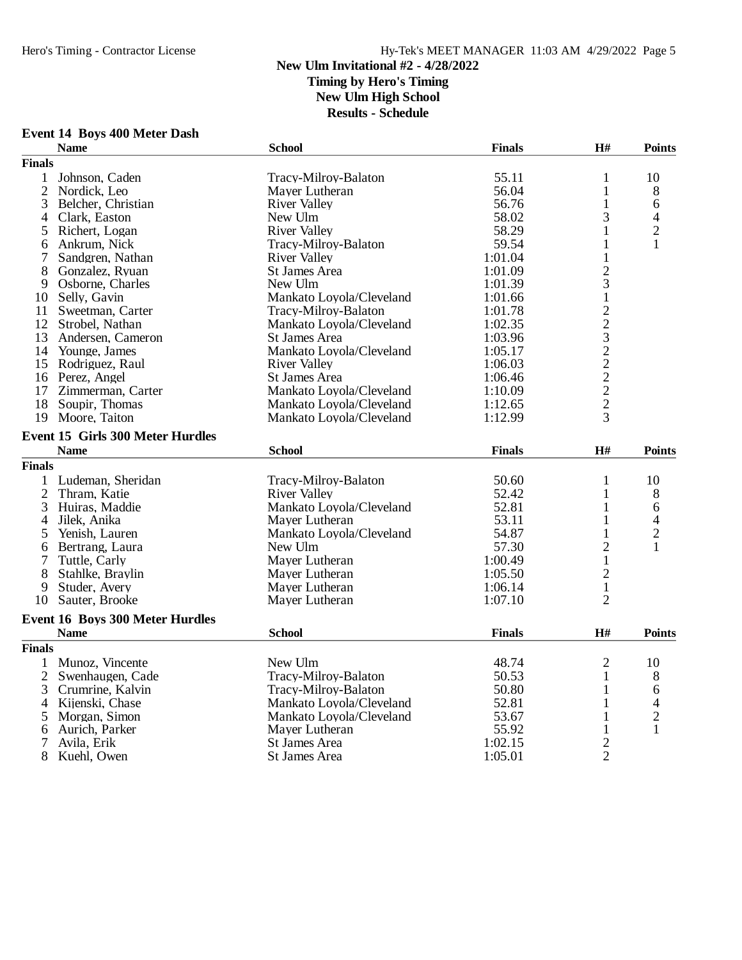**Event 14 Boys 400 Meter Dash**

## Hero's Timing - Contractor License Hy-Tek's MEET MANAGER 11:03 AM 4/29/2022 Page 5

### **New Ulm Invitational #2 - 4/28/2022**

**Timing by Hero's Timing**

**New Ulm High School**

|                | <b>Name</b>                             | <b>School</b>            | <b>Finals</b>  | H#                      | <b>Points</b>  |
|----------------|-----------------------------------------|--------------------------|----------------|-------------------------|----------------|
| <b>Finals</b>  |                                         |                          |                |                         |                |
| 1              | Johnson, Caden                          | Tracy-Milroy-Balaton     | 55.11          | 1                       | 10             |
|                | 2 Nordick, Leo                          | Mayer Lutheran           | 56.04          | $\mathbf{1}$            | 8              |
| 3              | Belcher, Christian                      | <b>River Valley</b>      | 56.76          | $\mathbf{1}$            | 6              |
| 4              | Clark, Easton                           | New Ulm                  | 58.02          | 3                       | $\overline{4}$ |
| 5              | Richert, Logan                          | <b>River Valley</b>      | 58.29          | $\mathbf{1}$            | $\overline{2}$ |
| 6              | Ankrum, Nick                            | Tracy-Milroy-Balaton     | 59.54          | 1                       | 1              |
| 7              | Sandgren, Nathan                        | <b>River Valley</b>      | 1:01.04        | $\mathbf{1}$            |                |
| 8              | Gonzalez, Ryuan                         | <b>St James Area</b>     | 1:01.09        | $\overline{c}$          |                |
| 9              | Osborne, Charles                        | New Ulm                  | 1:01.39        | 3                       |                |
|                | 10 Selly, Gavin                         | Mankato Loyola/Cleveland | 1:01.66        | $\mathbf{1}$            |                |
| 11             | Sweetman, Carter                        | Tracy-Milroy-Balaton     | 1:01.78        |                         |                |
|                | 12 Strobel, Nathan                      | Mankato Loyola/Cleveland | 1:02.35        | 2232222                 |                |
|                | 13 Andersen, Cameron                    | St James Area            | 1:03.96        |                         |                |
|                | 14 Younge, James                        | Mankato Loyola/Cleveland | 1:05.17        |                         |                |
|                | 15 Rodriguez, Raul                      | <b>River Valley</b>      | 1:06.03        |                         |                |
|                | 16 Perez, Angel                         | St James Area            | 1:06.46        |                         |                |
| 17             | Zimmerman, Carter                       | Mankato Loyola/Cleveland | 1:10.09        |                         |                |
|                | 18 Soupir, Thomas                       | Mankato Loyola/Cleveland | 1:12.65        |                         |                |
|                | 19 Moore, Taiton                        | Mankato Loyola/Cleveland | 1:12.99        | $\overline{3}$          |                |
|                | <b>Event 15 Girls 300 Meter Hurdles</b> |                          |                |                         |                |
|                | <b>Name</b>                             | <b>School</b>            | <b>Finals</b>  | H#                      | <b>Points</b>  |
| <b>Finals</b>  |                                         |                          |                |                         |                |
|                |                                         |                          |                |                         |                |
|                | 1 Ludeman, Sheridan                     | Tracy-Milroy-Balaton     | 50.60          | 1                       | 10             |
| $\overline{2}$ | Thram, Katie                            | <b>River Valley</b>      | 52.42<br>52.81 | 1                       | 8              |
| 3              | Huiras, Maddie                          | Mankato Loyola/Cleveland |                | 1                       | 6              |
| 4              | Jilek, Anika                            | Mayer Lutheran           | 53.11          | 1                       | 4              |
| 5              | Yenish, Lauren                          | Mankato Loyola/Cleveland | 54.87          | $\mathbf{1}$            | $\overline{c}$ |
| 6              | Bertrang, Laura                         | New Ulm                  | 57.30          | $\overline{\mathbf{c}}$ | 1              |
| 7              | Tuttle, Carly                           | Mayer Lutheran           | 1:00.49        | $\mathbf{1}$            |                |
| 8              | Stahlke, Braylin                        | Mayer Lutheran           | 1:05.50        | $\overline{c}$          |                |
| 9              | Studer, Avery                           | Mayer Lutheran           | 1:06.14        | $\mathbf{1}$            |                |
| 10             | Sauter, Brooke                          | Mayer Lutheran           | 1:07.10        | $\overline{2}$          |                |
|                | Event 16 Boys 300 Meter Hurdles         |                          |                |                         |                |
|                | <b>Name</b>                             | <b>School</b>            | <b>Finals</b>  | H#                      | <b>Points</b>  |
| <b>Finals</b>  |                                         |                          |                |                         |                |
|                | 1 Munoz, Vincente                       | New Ulm                  | 48.74          | $\mathfrak{2}$          | 10             |
| $\overline{2}$ | Swenhaugen, Cade                        | Tracy-Milroy-Balaton     | 50.53          | 1                       | 8              |
| 3              | Crumrine, Kalvin                        | Tracy-Milroy-Balaton     | 50.80          | 1                       | 6              |
|                | 4 Kijenski, Chase                       | Mankato Loyola/Cleveland | 52.81          | 1                       | 4              |
| 5              | Morgan, Simon                           | Mankato Loyola/Cleveland | 53.67          | 1                       | $\overline{c}$ |
| 6              | Aurich, Parker                          | Mayer Lutheran           | 55.92          | $\mathbf{1}$            | $\mathbf{1}$   |
| 7              | Avila, Erik                             | St James Area            | 1:02.15        | $\frac{2}{2}$           |                |
| 8              | Kuehl, Owen                             | St James Area            | 1:05.01        |                         |                |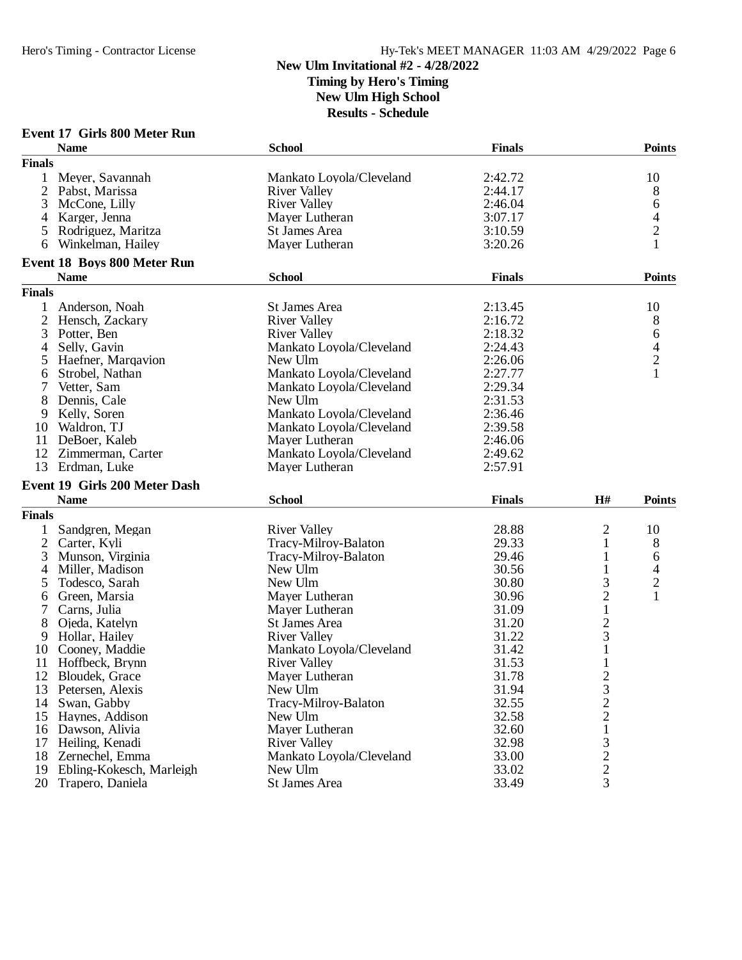### **New Ulm Invitational #2 - 4/28/2022 Timing by Hero's Timing New Ulm High School**

|               | <b>Event 17 Girls 800 Meter Run</b>  |                          |               |                |                |
|---------------|--------------------------------------|--------------------------|---------------|----------------|----------------|
|               | <b>Name</b>                          | <b>School</b>            | <b>Finals</b> |                | <b>Points</b>  |
| <b>Finals</b> |                                      |                          |               |                |                |
| $\mathbf{1}$  | Meyer, Savannah                      | Mankato Loyola/Cleveland | 2:42.72       |                | 10             |
|               | 2 Pabst, Marissa                     | <b>River Valley</b>      | 2:44.17       |                | 8              |
| 3             | McCone, Lilly                        | <b>River Valley</b>      | 2:46.04       |                | 6              |
| 4             | Karger, Jenna                        | Mayer Lutheran           | 3:07.17       |                | 4              |
| 5             | Rodriguez, Maritza                   | St James Area            | 3:10.59       |                | $\overline{2}$ |
| 6             | Winkelman, Hailey                    | Mayer Lutheran           | 3:20.26       |                | 1              |
|               |                                      |                          |               |                |                |
|               | <b>Event 18 Boys 800 Meter Run</b>   |                          |               |                |                |
|               | <b>Name</b>                          | <b>School</b>            | <b>Finals</b> |                | <b>Points</b>  |
| <b>Finals</b> |                                      |                          |               |                |                |
| 1             | Anderson, Noah                       | St James Area            | 2:13.45       |                | 10             |
| 2             | Hensch, Zackary                      | <b>River Valley</b>      | 2:16.72       |                | 8              |
| 3             | Potter, Ben                          | <b>River Valley</b>      | 2:18.32       |                | 6              |
| 4             | Selly, Gavin                         | Mankato Loyola/Cleveland | 2:24.43       |                | 4              |
| 5             | Haefner, Margavion                   | New Ulm                  | 2:26.06       |                | $\overline{c}$ |
| 6             | Strobel, Nathan                      | Mankato Loyola/Cleveland | 2:27.77       |                | $\mathbf{1}$   |
| 7             | Vetter, Sam                          | Mankato Loyola/Cleveland | 2:29.34       |                |                |
| 8             | Dennis, Cale                         | New Ulm                  | 2:31.53       |                |                |
| 9             | Kelly, Soren                         | Mankato Loyola/Cleveland | 2:36.46       |                |                |
| 10            | Waldron, TJ                          | Mankato Loyola/Cleveland | 2:39.58       |                |                |
| 11            | DeBoer, Kaleb                        | Mayer Lutheran           | 2:46.06       |                |                |
| 12            | Zimmerman, Carter                    | Mankato Loyola/Cleveland | 2:49.62       |                |                |
| 13            | Erdman, Luke                         | Mayer Lutheran           | 2:57.91       |                |                |
|               |                                      |                          |               |                |                |
|               | <b>Event 19 Girls 200 Meter Dash</b> |                          |               |                |                |
|               | <b>Name</b>                          | <b>School</b>            | <b>Finals</b> | H#             | <b>Points</b>  |
| <b>Finals</b> |                                      |                          |               |                |                |
| $\mathbf{1}$  | Sandgren, Megan                      | <b>River Valley</b>      | 28.88         | 2              | 10             |
| 2             | Carter, Kyli                         | Tracy-Milroy-Balaton     | 29.33         | 1              | 8              |
| 3             | Munson, Virginia                     | Tracy-Milroy-Balaton     | 29.46         | 1              | 6              |
| 4             | Miller, Madison                      | New Ulm                  | 30.56         | $\mathbf{1}$   | 4              |
| 5             | Todesco, Sarah                       | New Ulm                  | 30.80         | 3              | $\overline{c}$ |
| 6             | Green, Marsia                        | Mayer Lutheran           | 30.96         | $\mathbf{2}$   | 1              |
| 7             | Carns, Julia                         | Mayer Lutheran           | 31.09         | $\mathbf{1}$   |                |
| 8             | Ojeda, Katelyn                       | St James Area            | 31.20         | $\overline{c}$ |                |
| 9             | Hollar, Hailey                       | <b>River Valley</b>      | 31.22         | 3              |                |
| 10            | Cooney, Maddie                       | Mankato Loyola/Cleveland | 31.42         | $\mathbf{1}$   |                |
| 11            | Hoffbeck, Brynn                      | <b>River Valley</b>      | 31.53         | $\mathbf{1}$   |                |
|               | 12 Bloudek, Grace                    | Mayer Lutheran           | 31.78         | $\overline{c}$ |                |
| 13            | Petersen, Alexis                     | New Ulm                  | 31.94         | 3              |                |
| 14            | Swan, Gabby                          | Tracy-Milroy-Balaton     | 32.55         | $\overline{c}$ |                |
|               |                                      | New Ulm                  |               | $\overline{c}$ |                |
|               | 15 Haynes, Addison                   |                          | 32.58         |                |                |
|               | 16 Dawson, Alivia                    | Mayer Lutheran           | 32.60         | $\mathbf{1}$   |                |
|               | 17 Heiling, Kenadi                   | <b>River Valley</b>      | 32.98         | $\mathfrak{Z}$ |                |
|               | 18 Zernechel, Emma                   | Mankato Loyola/Cleveland | 33.00         | $\overline{c}$ |                |
|               | 19 Ebling-Kokesch, Marleigh          | New Ulm                  | 33.02         | $\overline{2}$ |                |
|               | 20 Trapero, Daniela                  | St James Area            | 33.49         | $\overline{3}$ |                |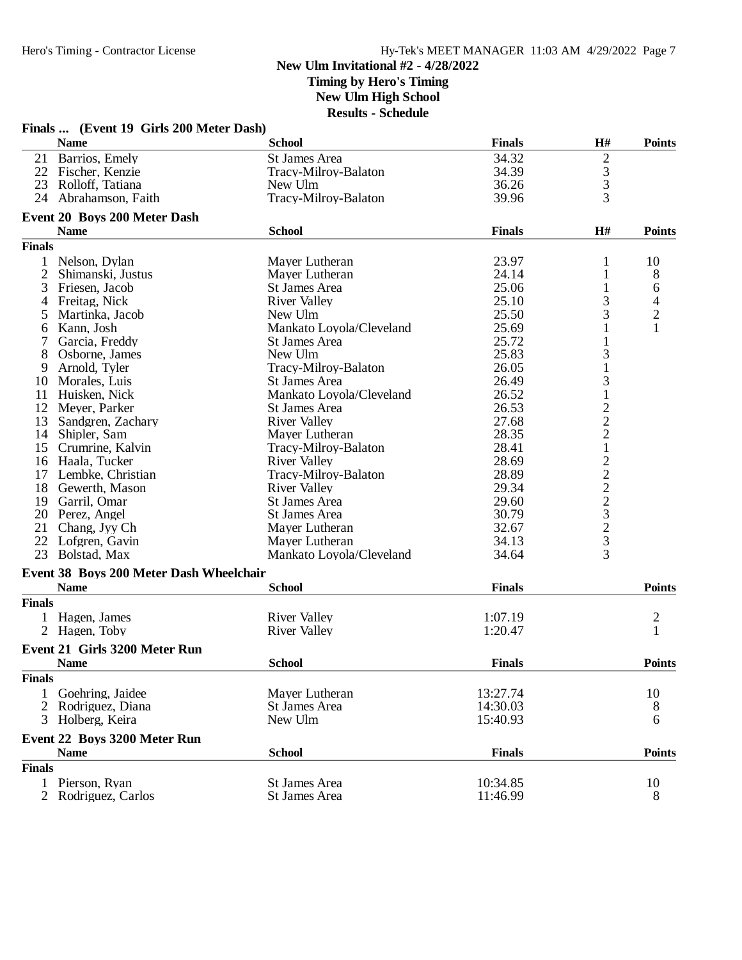## **New Ulm Invitational #2 - 4/28/2022 Timing by Hero's Timing**

**New Ulm High School**

|               | Finals  (Event 19 Girls 200 Meter Dash) |                                            |               |                   |                         |
|---------------|-----------------------------------------|--------------------------------------------|---------------|-------------------|-------------------------|
|               | <b>Name</b>                             | <b>School</b>                              | <b>Finals</b> | H#                | <b>Points</b>           |
|               | 21 Barrios, Emely                       | St James Area                              | 34.32         | 2                 |                         |
|               | 22 Fischer, Kenzie                      | Tracy-Milroy-Balaton                       | 34.39         |                   |                         |
| 23            | Rolloff, Tatiana                        | New Ulm                                    | 36.26         | $\frac{3}{3}$     |                         |
| 24            | Abrahamson, Faith                       | Tracy-Milroy-Balaton                       | 39.96         | 3                 |                         |
|               | Event 20 Boys 200 Meter Dash            |                                            |               |                   |                         |
|               | <b>Name</b>                             | <b>School</b>                              | <b>Finals</b> | H#                | <b>Points</b>           |
| <b>Finals</b> |                                         |                                            |               |                   |                         |
| $\mathbf{1}$  | Nelson, Dylan                           | Mayer Lutheran                             | 23.97         | 1                 | 10                      |
| 2             | Shimanski, Justus                       | Mayer Lutheran                             | 24.14         | 1                 | 8                       |
| 3             | Friesen, Jacob                          | St James Area                              | 25.06         | 1                 | 6                       |
| 4             | Freitag, Nick                           | <b>River Valley</b>                        | 25.10         | 3                 | 4                       |
| 5             | Martinka, Jacob                         | New Ulm                                    | 25.50         | 3                 | $\overline{c}$          |
| 6             | Kann, Josh                              | Mankato Loyola/Cleveland                   | 25.69         |                   | 1                       |
| 7             | Garcia, Freddy                          | <b>St James Area</b>                       | 25.72         |                   |                         |
| 8             | Osborne, James                          | New Ulm                                    | 25.83         | 3                 |                         |
| 9             | Arnold, Tyler                           | Tracy-Milroy-Balaton                       | 26.05         | $\mathbf{1}$      |                         |
|               | 10 Morales, Luis                        | St James Area                              | 26.49         | 3                 |                         |
| 11            | Huisken, Nick                           | Mankato Loyola/Cleveland                   | 26.52         | $\,1$             |                         |
|               | 12 Meyer, Parker                        | St James Area                              | 26.53         |                   |                         |
| 13            | Sandgren, Zachary                       | <b>River Valley</b>                        | 27.68         |                   |                         |
| 14            | Shipler, Sam                            | Mayer Lutheran                             | 28.35         | $\frac{2}{2}$     |                         |
| 15            | Crumrine, Kalvin                        | Tracy-Milroy-Balaton                       | 28.41         | $\mathbf{1}$      |                         |
|               | 16 Haala, Tucker                        | <b>River Valley</b>                        | 28.69         |                   |                         |
|               | 17 Lembke, Christian                    | Tracy-Milroy-Balaton                       | 28.89         | $22223$<br>$2323$ |                         |
|               | 18 Gewerth, Mason                       | <b>River Valley</b>                        | 29.34         |                   |                         |
|               | 19 Garril, Omar                         | St James Area                              | 29.60         |                   |                         |
|               | 20 Perez, Angel                         | St James Area                              | 30.79         |                   |                         |
| 21            | Chang, Jyy Ch                           |                                            | 32.67         |                   |                         |
|               |                                         | Mayer Lutheran                             | 34.13         |                   |                         |
| 23            | 22 Lofgren, Gavin<br>Bolstad, Max       | Mayer Lutheran<br>Mankato Loyola/Cleveland | 34.64         | 3                 |                         |
|               |                                         |                                            |               |                   |                         |
|               | Event 38 Boys 200 Meter Dash Wheelchair |                                            |               |                   |                         |
|               | <b>Name</b>                             | <b>School</b>                              | <b>Finals</b> |                   | <b>Points</b>           |
| <b>Finals</b> |                                         |                                            |               |                   |                         |
|               | 1 Hagen, James                          | <b>River Valley</b>                        | 1:07.19       |                   | $\overline{\mathbf{c}}$ |
|               | 2 Hagen, Toby                           | <b>River Valley</b>                        | 1:20.47       |                   | $\mathbf{1}$            |
|               | Event 21 Girls 3200 Meter Run           |                                            |               |                   |                         |
|               | <b>Name</b>                             | <b>School</b>                              | <b>Finals</b> |                   | <b>Points</b>           |
| <b>Finals</b> |                                         |                                            |               |                   |                         |
| $\mathbf{1}$  | Goehring, Jaidee                        | Mayer Lutheran                             | 13:27.74      |                   | 10                      |
|               | 2 Rodriguez, Diana                      | St James Area                              | 14:30.03      |                   | 8                       |
|               | 3 Holberg, Keira                        | New Ulm                                    | 15:40.93      |                   | 6                       |
|               | Event 22 Boys 3200 Meter Run            |                                            |               |                   |                         |
|               | <b>Name</b>                             | <b>School</b>                              | <b>Finals</b> |                   | <b>Points</b>           |
| <b>Finals</b> |                                         |                                            |               |                   |                         |
| 1             | Pierson, Ryan                           | St James Area                              | 10:34.85      |                   | 10                      |
|               | Rodriguez, Carlos                       | St James Area                              | 11:46.99      |                   | 8                       |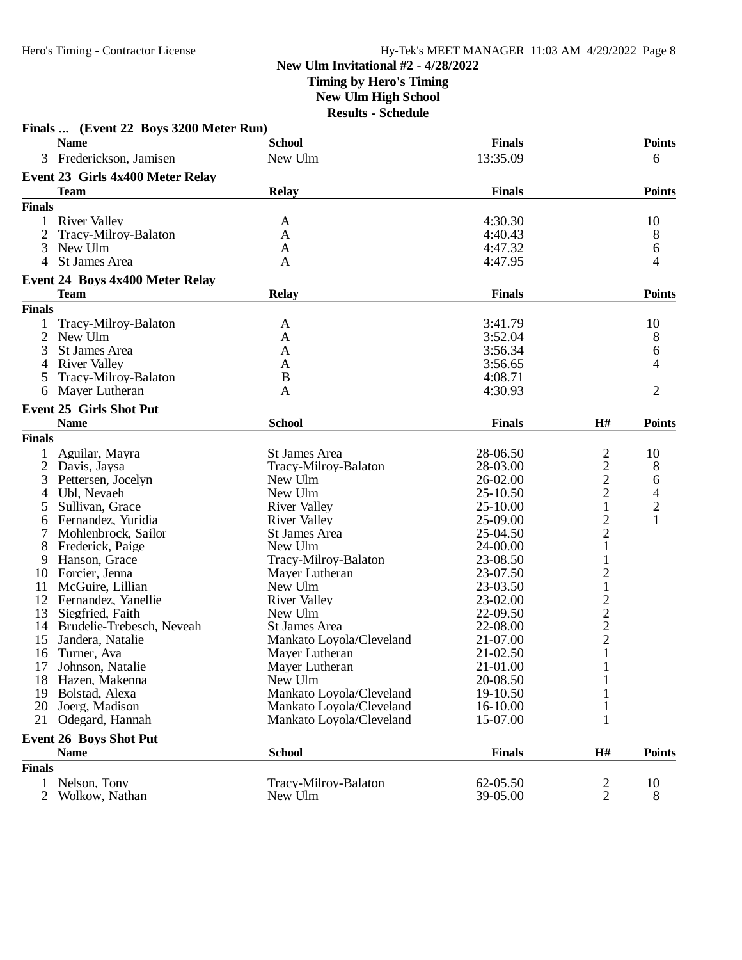### **New Ulm Invitational #2 - 4/28/2022 Timing by Hero's Timing**

**New Ulm High School**

|                | Finals  (Event 22 Boys 3200 Meter Run) |                          |               |                                                   |                                            |
|----------------|----------------------------------------|--------------------------|---------------|---------------------------------------------------|--------------------------------------------|
|                | <b>Name</b>                            | <b>School</b>            | <b>Finals</b> |                                                   | <b>Points</b>                              |
| 3              | Frederickson, Jamisen                  | New Ulm                  | 13:35.09      |                                                   | 6                                          |
|                | Event 23 Girls 4x400 Meter Relay       |                          |               |                                                   |                                            |
|                | <b>Team</b>                            | <b>Relay</b>             | <b>Finals</b> |                                                   | <b>Points</b>                              |
| <b>Finals</b>  |                                        |                          |               |                                                   |                                            |
| 1              | <b>River Valley</b>                    | A                        | 4:30.30       |                                                   | 10                                         |
| 2              | Tracy-Milroy-Balaton                   | A                        | 4:40.43       |                                                   | 8                                          |
| 3              | New Ulm                                | A                        | 4:47.32       |                                                   | 6                                          |
| 4              | St James Area                          | A                        | 4:47.95       |                                                   | 4                                          |
|                | Event 24 Boys 4x400 Meter Relay        |                          |               |                                                   |                                            |
|                | <b>Team</b>                            | <b>Relay</b>             | <b>Finals</b> |                                                   | <b>Points</b>                              |
| <b>Finals</b>  |                                        |                          |               |                                                   |                                            |
|                | Tracy-Milroy-Balaton                   | A                        | 3:41.79       |                                                   | 10                                         |
| 2              | New Ulm                                | A                        | 3:52.04       |                                                   | 8                                          |
| 3              | <b>St James Area</b>                   | A                        | 3:56.34       |                                                   | 6                                          |
| 4              | <b>River Valley</b>                    | A                        | 3:56.65       |                                                   | 4                                          |
| 5              | Tracy-Milroy-Balaton                   | B                        | 4:08.71       |                                                   |                                            |
| 6              | Mayer Lutheran                         | A                        | 4:30.93       |                                                   | $\overline{2}$                             |
|                | <b>Event 25 Girls Shot Put</b>         |                          |               |                                                   |                                            |
|                |                                        |                          | <b>Finals</b> |                                                   |                                            |
|                | <b>Name</b>                            | <b>School</b>            |               | H#                                                | <b>Points</b>                              |
| <b>Finals</b>  |                                        |                          |               |                                                   |                                            |
|                | Aguilar, Mayra                         | St James Area            | 28-06.50      | $\overline{c}$                                    | 10                                         |
| 2              | Davis, Jaysa                           | Tracy-Milroy-Balaton     | 28-03.00      | $\overline{c}$                                    | 8                                          |
| 3              | Pettersen, Jocelyn                     | New Ulm                  | 26-02.00      | $\frac{2}{2}$                                     | 6                                          |
| 4              | Ubl, Nevaeh                            | New Ulm                  | 25-10.50      |                                                   |                                            |
| 5              | Sullivan, Grace                        | <b>River Valley</b>      | 25-10.00      | $\mathbf{1}$                                      | $\begin{array}{c} 4 \\ 2 \\ 1 \end{array}$ |
| 6              | Fernandez, Yuridia                     | <b>River Valley</b>      | 25-09.00      | $\overline{c}$                                    |                                            |
|                | Mohlenbrock, Sailor                    | St James Area            | 25-04.50      | $\overline{c}$                                    |                                            |
| 8              | Frederick, Paige                       | New Ulm                  | 24-00.00      | $\mathbf 1$                                       |                                            |
| 9              | Hanson, Grace                          | Tracy-Milroy-Balaton     | 23-08.50      | 1                                                 |                                            |
| 10             | Forcier, Jenna                         | Mayer Lutheran           | 23-07.50      | 2                                                 |                                            |
| 11             | McGuire, Lillian                       | New Ulm                  | 23-03.50      | $\,1$                                             |                                            |
| 12             | Fernandez, Yanellie                    | <b>River Valley</b>      | 23-02.00      |                                                   |                                            |
| 13             | Siegfried, Faith                       | New Ulm                  | 22-09.50      | $\begin{array}{c}\n2 \\ 2 \\ 2 \\ 1\n\end{array}$ |                                            |
| 14             | Brudelie-Trebesch, Neveah              | St James Area            | 22-08.00      |                                                   |                                            |
| 15             | Jandera, Natalie                       | Mankato Loyola/Cleveland | 21-07.00      |                                                   |                                            |
| 16             | Turner, Ava                            | Mayer Lutheran           | 21-02.50      |                                                   |                                            |
| 17             | Johnson, Natalie                       | Mayer Lutheran           | 21-01.00      | 1                                                 |                                            |
| 18             | Hazen, Makenna                         | New Ulm                  | 20-08.50      | 1                                                 |                                            |
| 19             | Bolstad, Alexa                         | Mankato Loyola/Cleveland | 19-10.50      |                                                   |                                            |
| 20             | Joerg, Madison                         | Mankato Loyola/Cleveland | 16-10.00      | $\mathbf{1}$                                      |                                            |
| 21             | Odegard, Hannah                        | Mankato Loyola/Cleveland | 15-07.00      | 1                                                 |                                            |
|                | <b>Event 26 Boys Shot Put</b>          |                          |               |                                                   |                                            |
|                | <b>Name</b>                            | <b>School</b>            | <b>Finals</b> | H#                                                | <b>Points</b>                              |
| <b>Finals</b>  |                                        |                          |               |                                                   |                                            |
| 1              | Nelson, Tony                           | Tracy-Milroy-Balaton     | 62-05.50      | $\overline{\mathbf{c}}$                           | 10                                         |
| $\overline{2}$ | Wolkow, Nathan                         | New Ulm                  | 39-05.00      | $\overline{2}$                                    | 8                                          |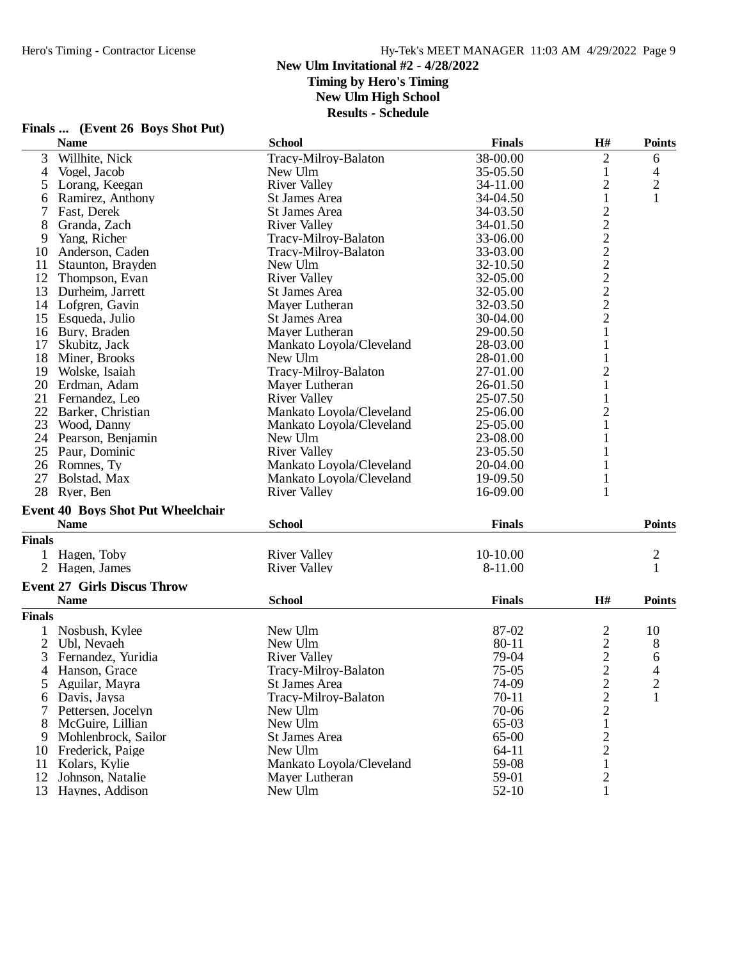### **New Ulm Invitational #2 - 4/28/2022 Timing by Hero's Timing New Ulm High School Results - Schedule**

|               | Finals  (Event 26 Boys Shot Put)         |                          |               |                |                |
|---------------|------------------------------------------|--------------------------|---------------|----------------|----------------|
|               | <b>Name</b>                              | <b>School</b>            | <b>Finals</b> | H#             | <b>Points</b>  |
| 3             | Willhite, Nick                           | Tracy-Milroy-Balaton     | 38-00.00      | $\overline{2}$ | 6              |
| 4             | Vogel, Jacob                             | New Ulm                  | 35-05.50      | $\mathbf{1}$   | 4              |
| 5             | Lorang, Keegan                           | <b>River Valley</b>      | 34-11.00      | $\overline{c}$ | $\mathbf{2}$   |
| 6             | Ramirez, Anthony                         | St James Area            | 34-04.50      | $\mathbf{1}$   | 1              |
| 7             | Fast, Derek                              | St James Area            | 34-03.50      |                |                |
| 8             | Granda, Zach                             | <b>River Valley</b>      | 34-01.50      |                |                |
| 9             | Yang, Richer                             | Tracy-Milroy-Balaton     | 33-06.00      |                |                |
| 10            | Anderson, Caden                          | Tracy-Milroy-Balaton     | 33-03.00      |                |                |
| 11            | Staunton, Brayden                        | New Ulm                  | 32-10.50      |                |                |
| 12            | Thompson, Evan                           | <b>River Valley</b>      | 32-05.00      |                |                |
| 13            | Durheim, Jarrett                         | St James Area            | 32-05.00      | 222222222      |                |
|               | 14 Lofgren, Gavin                        | Mayer Lutheran           | 32-03.50      |                |                |
| 15            | Esqueda, Julio                           | St James Area            | 30-04.00      |                |                |
| 16            | Bury, Braden                             | Mayer Lutheran           | 29-00.50      | $\mathbf{1}$   |                |
|               |                                          |                          |               |                |                |
| 17            | Skubitz, Jack                            | Mankato Loyola/Cleveland | 28-03.00      | $\mathbf{1}$   |                |
| 18            | Miner, Brooks                            | New Ulm                  | 28-01.00      | $\mathbf{1}$   |                |
| 19            | Wolske, Isaiah                           | Tracy-Milroy-Balaton     | 27-01.00      | $\frac{2}{1}$  |                |
| 20            | Erdman, Adam                             | Mayer Lutheran           | 26-01.50      |                |                |
| 21            | Fernandez, Leo                           | <b>River Valley</b>      | 25-07.50      | 1              |                |
| 22            | Barker, Christian                        | Mankato Loyola/Cleveland | 25-06.00      | $\overline{c}$ |                |
| 23            | Wood, Danny                              | Mankato Loyola/Cleveland | 25-05.00      | $\mathbf{1}$   |                |
|               | 24 Pearson, Benjamin                     | New Ulm                  | 23-08.00      | 1              |                |
|               | 25 Paur, Dominic                         | <b>River Valley</b>      | 23-05.50      | 1              |                |
|               | 26 Romnes, Ty                            | Mankato Loyola/Cleveland | 20-04.00      |                |                |
| 27            | Bolstad, Max                             | Mankato Loyola/Cleveland | 19-09.50      | 1              |                |
|               | 28 Ryer, Ben                             | <b>River Valley</b>      | 16-09.00      | 1              |                |
|               | <b>Event 40 Boys Shot Put Wheelchair</b> |                          |               |                |                |
|               | <b>Name</b>                              | <b>School</b>            | <b>Finals</b> |                | <b>Points</b>  |
| <b>Finals</b> |                                          |                          |               |                |                |
|               | 1 Hagen, Toby                            | <b>River Valley</b>      | 10-10.00      |                | $\overline{c}$ |
|               | 2 Hagen, James                           | <b>River Valley</b>      | 8-11.00       |                | 1              |
|               | <b>Event 27 Girls Discus Throw</b>       |                          |               |                |                |
|               | <b>Name</b>                              | <b>School</b>            | <b>Finals</b> | H#             | <b>Points</b>  |
| <b>Finals</b> |                                          |                          |               |                |                |
|               |                                          |                          |               |                |                |
| 1             | Nosbush, Kylee                           | New Ulm                  | 87-02         | 2              | 10             |
| 2             | Ubl, Nevaeh                              | New Ulm                  | 80-11         | $\frac{2}{2}$  | 8              |
|               | 3 Fernandez, Yuridia                     | <b>River Valley</b>      | 79-04         |                | 6              |
|               | 4 Hanson, Grace                          | Tracy-Milroy-Balaton     | $75-05$       | $\overline{c}$ | 4              |
| 5             | Aguilar, Mayra                           | St James Area            | 74-09         | $\overline{c}$ | 2              |
| 6             | Davis, Jaysa                             | Tracy-Milroy-Balaton     | $70 - 11$     | 2              | 1              |
| 7             | Pettersen, Jocelyn                       | New Ulm                  | 70-06         | $\overline{c}$ |                |
| 8             | McGuire, Lillian                         | New Ulm                  | 65-03         | $\mathbf{1}$   |                |
| 9             | Mohlenbrock, Sailor                      | St James Area            | 65-00         | $\overline{c}$ |                |
| 10            | Frederick, Paige                         | New Ulm                  | 64-11         | $\overline{c}$ |                |
| 11            | Kolars, Kylie                            | Mankato Loyola/Cleveland | 59-08         | 1              |                |
| 12            | Johnson, Natalie                         | Mayer Lutheran           | 59-01         | $\overline{2}$ |                |
|               | 13 Haynes, Addison                       | New Ulm                  | $52 - 10$     | 1              |                |
|               |                                          |                          |               |                |                |

# **Finals ... (Event 26 Boys Shot Put)**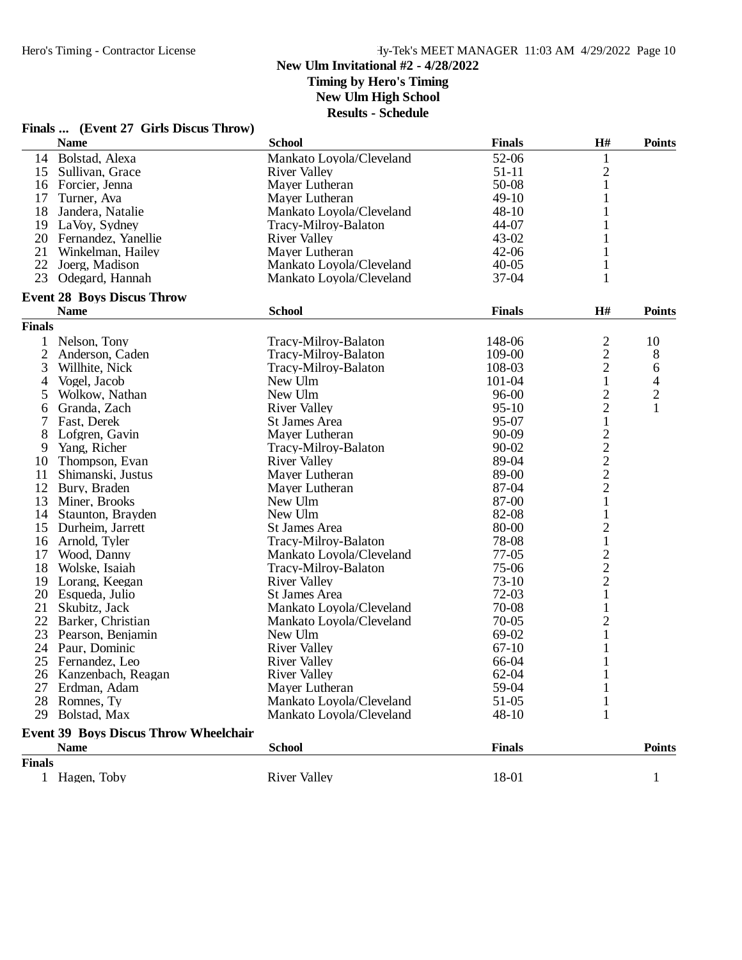# **New Ulm Invitational #2 - 4/28/2022**

**Timing by Hero's Timing**

**New Ulm High School**

|                | Finals  (Event 27 Girls Discus Throw)                       |                          |                      |                                            |                          |
|----------------|-------------------------------------------------------------|--------------------------|----------------------|--------------------------------------------|--------------------------|
|                | <b>Name</b>                                                 | <b>School</b>            | <b>Finals</b>        | H#                                         | <b>Points</b>            |
| 14             | Bolstad, Alexa                                              | Mankato Loyola/Cleveland | 52-06                | 1                                          |                          |
| 15             | Sullivan, Grace                                             | River Valley             | $51 - 11$            | $\overline{c}$                             |                          |
|                | 16 Forcier, Jenna                                           | Mayer Lutheran           | 50-08                | $\mathbf{1}$                               |                          |
| 17             | Turner, Ava                                                 | Mayer Lutheran           | $49-10$              | 1                                          |                          |
| 18             | Jandera, Natalie                                            | Mankato Loyola/Cleveland | $48 - 10$            |                                            |                          |
|                | 19 LaVoy, Sydney                                            | Tracy-Milroy-Balaton     | 44-07                |                                            |                          |
|                | 20 Fernandez, Yanellie                                      | <b>River Valley</b>      | $43 - 02$            |                                            |                          |
| 21             | Winkelman, Hailey                                           | Mayer Lutheran           | $42 - 06$            | 1                                          |                          |
|                | 22 Joerg, Madison                                           | Mankato Loyola/Cleveland | $40 - 05$            | 1                                          |                          |
| 23             | Odegard, Hannah                                             | Mankato Loyola/Cleveland | $37-04$              | $\mathbf{1}$                               |                          |
|                | <b>Event 28 Boys Discus Throw</b>                           |                          |                      |                                            |                          |
|                | <b>Name</b>                                                 | <b>School</b>            | <b>Finals</b>        | H#                                         | <b>Points</b>            |
| <b>Finals</b>  |                                                             |                          |                      |                                            |                          |
| $\mathbf{1}$   | Nelson, Tony                                                | Tracy-Milroy-Balaton     | 148-06               | 2                                          | 10                       |
| $\overline{2}$ | Anderson, Caden                                             | Tracy-Milroy-Balaton     | 109-00               |                                            | 8                        |
| 3              | Willhite, Nick                                              | Tracy-Milroy-Balaton     | 108-03               | $\frac{2}{2}$                              | 6                        |
| $\overline{4}$ | Vogel, Jacob                                                | New Ulm                  | 101-04               | $\mathbf{1}$                               | $\overline{\mathcal{L}}$ |
| 5              | Wolkow, Nathan                                              | New Ulm                  | $96 - 00$            | $\overline{\mathbf{c}}$                    | $\overline{c}$           |
| 6              | Granda, Zach                                                | <b>River Valley</b>      | $95-10$              | $\overline{2}$                             | $\mathbf{1}$             |
| 7              | Fast, Derek                                                 | St James Area            | 95-07                | 1                                          |                          |
| 8              | Lofgren, Gavin                                              | Mayer Lutheran           | 90-09                |                                            |                          |
| 9              | Yang, Richer                                                | Tracy-Milroy-Balaton     | 90-02                |                                            |                          |
| 10             | Thompson, Evan                                              | <b>River Valley</b>      | 89-04                | $\begin{array}{c} 2 \\ 2 \\ 2 \end{array}$ |                          |
| 11             | Shimanski, Justus                                           | Mayer Lutheran           | 89-00                |                                            |                          |
|                | 12 Bury, Braden                                             | Mayer Lutheran           | 87-04                | $\overline{c}$                             |                          |
| 13             | Miner, Brooks                                               | New Ulm                  | 87-00                | 1                                          |                          |
| 14             | Staunton, Brayden                                           | New Ulm                  | 82-08                | 1                                          |                          |
| 15             | Durheim, Jarrett                                            | St James Area            | 80-00                | $\overline{c}$                             |                          |
| 16             | Arnold, Tyler                                               | Tracy-Milroy-Balaton     | 78-08                | $\mathbf{1}$                               |                          |
| 17             | Wood, Danny                                                 | Mankato Loyola/Cleveland | $77-05$              |                                            |                          |
| 18             | Wolske, Isaiah                                              | Tracy-Milroy-Balaton     | 75-06                | $\frac{2}{2}$                              |                          |
| 19             | Lorang, Keegan                                              | <b>River Valley</b>      | 73-10                | $\overline{2}$                             |                          |
| 20             | Esqueda, Julio                                              | St James Area            | $72-03$              | $\mathbf{1}$                               |                          |
| 21             | Skubitz, Jack                                               | Mankato Loyola/Cleveland | 70-08                | $\mathbf{1}$                               |                          |
| 22             | Barker, Christian                                           | Mankato Loyola/Cleveland | $70 - 05$            | $\overline{c}$                             |                          |
| 23             | Pearson, Benjamin                                           | New Ulm                  | 69-02                | $\mathbf{1}$                               |                          |
|                | 24 Paur, Dominic                                            | <b>River Valley</b>      | $67-10$              |                                            |                          |
|                |                                                             |                          |                      |                                            |                          |
|                | 25 Fernandez, Leo                                           | <b>River Valley</b>      | 66-04                |                                            |                          |
|                | 26 Kanzenbach, Reagan                                       | <b>River Valley</b>      | 62-04                |                                            |                          |
|                | 27 Erdman, Adam                                             | Mayer Lutheran           | 59-04                |                                            |                          |
|                | 28 Romnes, Ty                                               | Mankato Loyola/Cleveland | $51-05$<br>$48 - 10$ | 1                                          |                          |
|                | 29 Bolstad, Max                                             | Mankato Loyola/Cleveland |                      |                                            |                          |
|                | <b>Event 39 Boys Discus Throw Wheelchair</b><br><b>Name</b> | <b>School</b>            | <b>Finals</b>        |                                            | <b>Points</b>            |
|                |                                                             |                          |                      |                                            |                          |
| <b>Finals</b>  |                                                             |                          |                      |                                            |                          |
|                | 1 Hagen, Toby                                               | <b>River Valley</b>      | 18-01                |                                            | 1                        |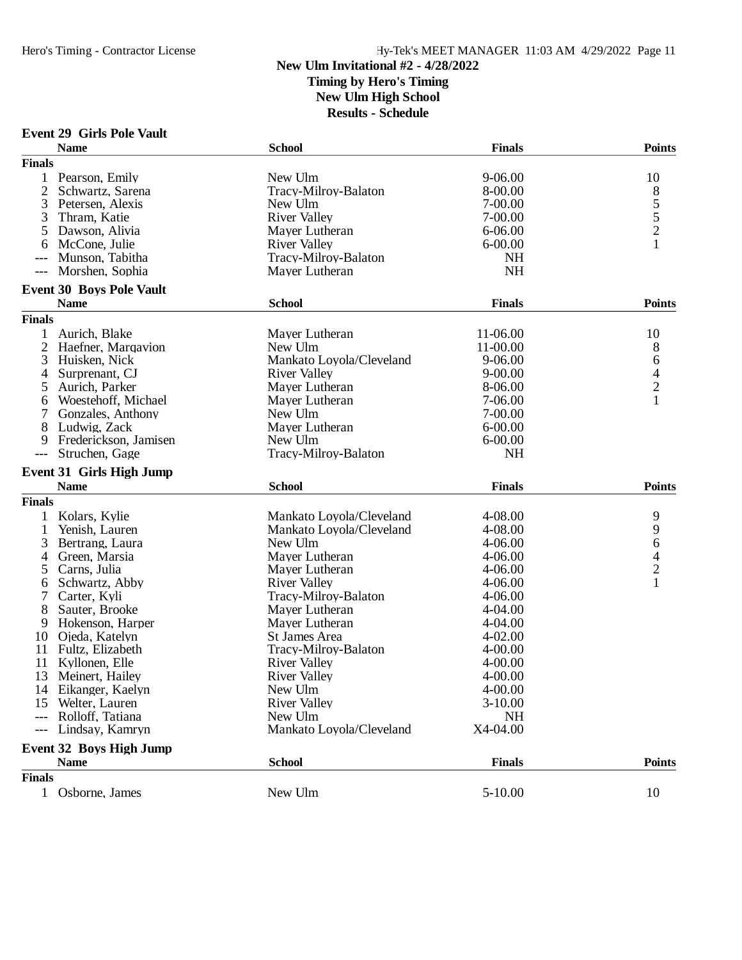## **New Ulm Invitational #2 - 4/28/2022 Timing by Hero's Timing New Ulm High School**

| <b>Event 29 Girls Pole Vault</b> |
|----------------------------------|

|                     | <b>Name</b>                     | <b>School</b>            | <b>Finals</b> | <b>Points</b>                      |
|---------------------|---------------------------------|--------------------------|---------------|------------------------------------|
| <b>Finals</b>       |                                 |                          |               |                                    |
| 1                   | Pearson, Emily                  | New Ulm                  | $9 - 06.00$   | 10                                 |
| $\overline{2}$      | Schwartz, Sarena                | Tracy-Milroy-Balaton     | 8-00.00       |                                    |
| 3                   | Petersen, Alexis                | New Ulm                  | 7-00.00       | $8\overline{5}$<br>$5\overline{2}$ |
| 3                   | Thram, Katie                    | <b>River Valley</b>      | 7-00.00       |                                    |
| 5                   | Dawson, Alivia                  | Mayer Lutheran           | 6-06.00       |                                    |
| 6                   | McCone, Julie                   | <b>River Valley</b>      | $6 - 00.00$   | $\mathbf{1}$                       |
| ---                 | Munson, Tabitha                 | Tracy-Milroy-Balaton     | NH            |                                    |
| $\qquad \qquad - -$ | Morshen, Sophia                 | Mayer Lutheran           | <b>NH</b>     |                                    |
|                     | <b>Event 30 Boys Pole Vault</b> |                          |               |                                    |
|                     | <b>Name</b>                     | <b>School</b>            | <b>Finals</b> | <b>Points</b>                      |
| <b>Finals</b>       |                                 |                          |               |                                    |
| 1                   | Aurich, Blake                   | Mayer Lutheran           | 11-06.00      | 10                                 |
| 2                   | Haefner, Marqavion              | New Ulm                  | 11-00.00      | 8                                  |
| 3                   | Huisken, Nick                   | Mankato Loyola/Cleveland | $9 - 06.00$   | 6                                  |
| 4                   | Surprenant, CJ                  | <b>River Valley</b>      | $9 - 00.00$   |                                    |
| 5                   | Aurich, Parker                  | Mayer Lutheran           | 8-06.00       | $\frac{4}{2}$                      |
| 6                   | Woestehoff, Michael             | Mayer Lutheran           | 7-06.00       | $\mathbf{1}$                       |
|                     | Gonzales, Anthony               | New Ulm                  | 7-00.00       |                                    |
| 8                   | Ludwig, Zack                    | Mayer Lutheran           | 6-00.00       |                                    |
| 9                   | Frederickson, Jamisen           | New Ulm                  | $6 - 00.00$   |                                    |
| $---$               | Struchen, Gage                  | Tracy-Milroy-Balaton     | <b>NH</b>     |                                    |
|                     |                                 |                          |               |                                    |
|                     | <b>Event 31 Girls High Jump</b> |                          |               |                                    |
|                     | <b>Name</b>                     | <b>School</b>            | <b>Finals</b> | <b>Points</b>                      |
| <b>Finals</b>       |                                 |                          |               |                                    |
| $\mathbf{1}$        | Kolars, Kylie                   | Mankato Loyola/Cleveland | 4-08.00       | 9                                  |
| 1                   | Yenish, Lauren                  | Mankato Loyola/Cleveland | 4-08.00       | 9                                  |
| 3                   | Bertrang, Laura                 | New Ulm                  | $4 - 06.00$   | 6                                  |
| 4                   | Green, Marsia                   | Mayer Lutheran           | $4 - 06.00$   | $\overline{\mathcal{L}}$           |
| 5                   | Carns, Julia                    | Mayer Lutheran           | $4 - 06.00$   | $\frac{2}{1}$                      |
| 6                   | Schwartz, Abby                  | <b>River Valley</b>      | 4-06.00       |                                    |
| 7                   | Carter, Kyli                    | Tracy-Milroy-Balaton     | 4-06.00       |                                    |
| 8                   | Sauter, Brooke                  | Mayer Lutheran           | $4 - 04.00$   |                                    |
| 9                   | Hokenson, Harper                | Mayer Lutheran           | 4-04.00       |                                    |
| 10                  | Ojeda, Katelyn                  | <b>St James Area</b>     | 4-02.00       |                                    |
| 11                  | Fultz, Elizabeth                | Tracy-Milroy-Balaton     | $4 - 00.00$   |                                    |
| 11                  | Kyllonen, Elle                  | <b>River Valley</b>      | $4 - 00.00$   |                                    |
| 13                  | Meinert, Hailey                 | <b>River Valley</b>      | $4 - 00.00$   |                                    |
|                     | 14 Eikanger, Kaelyn             | New Ulm                  | $4 - 00.00$   |                                    |
| 15                  | Welter, Lauren                  | <b>River Valley</b>      | $3-10.00$     |                                    |
|                     | Rolloff, Tatiana                | New Ulm                  | <b>NH</b>     |                                    |
| $\qquad \qquad - -$ | Lindsay, Kamryn                 | Mankato Loyola/Cleveland | X4-04.00      |                                    |
|                     | <b>Event 32 Boys High Jump</b>  |                          |               |                                    |
|                     | <b>Name</b>                     | <b>School</b>            | <b>Finals</b> | <b>Points</b>                      |
| <b>Finals</b>       |                                 |                          |               |                                    |
| $\mathbf{1}$        | Osborne, James                  | New Ulm                  | $5 - 10.00$   | 10                                 |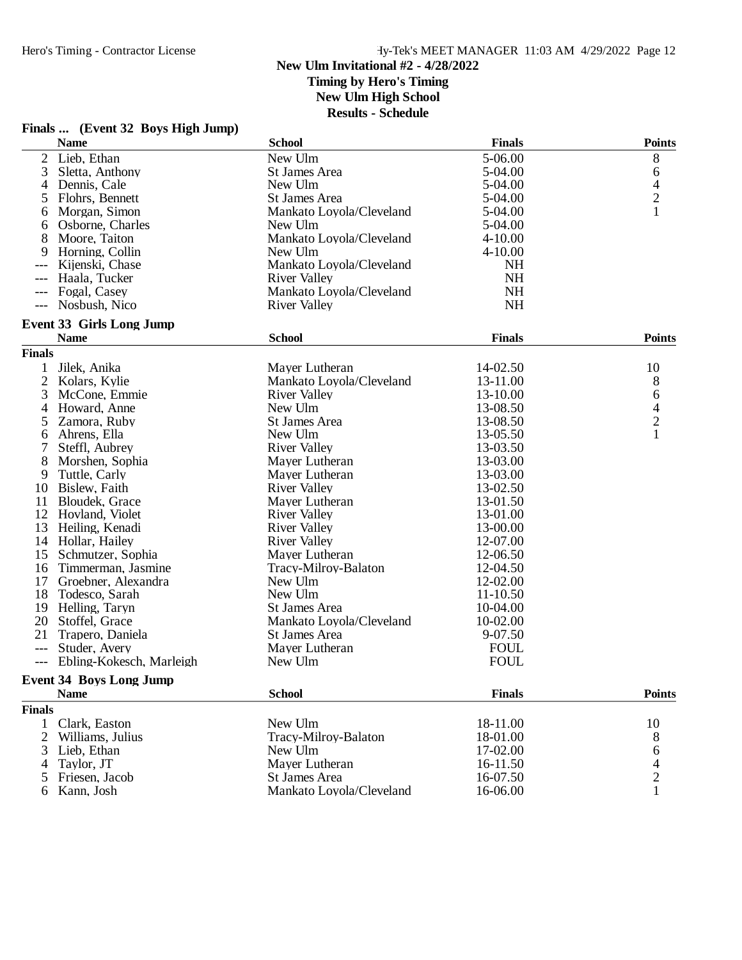#### **New Ulm Invitational #2 - 4/28/2022 Timing by Hero's Timing**

**New Ulm High School**

|                | Finals  (Event 32 Boys High Jump) |                          |               |                                            |
|----------------|-----------------------------------|--------------------------|---------------|--------------------------------------------|
|                | <b>Name</b>                       | <b>School</b>            | <b>Finals</b> | <b>Points</b>                              |
| 2              | Lieb, Ethan                       | New Ulm                  | 5-06.00       | 8                                          |
| 3              | Sletta, Anthony                   | <b>St James Area</b>     | 5-04.00       | 6                                          |
| 4              | Dennis, Cale                      | New Ulm                  | 5-04.00       |                                            |
| 5              | Flohrs, Bennett                   | St James Area            | 5-04.00       | $\begin{array}{c} 4 \\ 2 \\ 1 \end{array}$ |
| 6              | Morgan, Simon                     | Mankato Loyola/Cleveland | 5-04.00       |                                            |
| 6              | Osborne, Charles                  | New Ulm                  | 5-04.00       |                                            |
| 8              | Moore, Taiton                     | Mankato Loyola/Cleveland | $4 - 10.00$   |                                            |
| 9              | Horning, Collin                   | New Ulm                  | 4-10.00       |                                            |
|                | Kijenski, Chase                   | Mankato Loyola/Cleveland | <b>NH</b>     |                                            |
| $---$          | Haala, Tucker                     | <b>River Valley</b>      | <b>NH</b>     |                                            |
|                | Fogal, Casey                      | Mankato Loyola/Cleveland | <b>NH</b>     |                                            |
| $---$          | Nosbush, Nico                     | <b>River Valley</b>      | <b>NH</b>     |                                            |
|                | <b>Event 33 Girls Long Jump</b>   |                          |               |                                            |
|                | <b>Name</b>                       | <b>School</b>            | <b>Finals</b> | <b>Points</b>                              |
| <b>Finals</b>  |                                   |                          |               |                                            |
|                | Jilek, Anika                      | Mayer Lutheran           | 14-02.50      | 10                                         |
| $\overline{2}$ | Kolars, Kylie                     | Mankato Loyola/Cleveland | 13-11.00      | 8                                          |
| 3              | McCone, Emmie                     | <b>River Valley</b>      | 13-10.00      | 6                                          |
| $\overline{4}$ | Howard, Anne                      | New Ulm                  | 13-08.50      | $\frac{4}{2}$                              |
| 5              | Zamora, Ruby                      | St James Area            | 13-08.50      |                                            |
| 6              | Ahrens, Ella                      | New Ulm                  | 13-05.50      | $\mathbf{1}$                               |
| 7              | Steffl, Aubrey                    | <b>River Valley</b>      | 13-03.50      |                                            |
| 8              | Morshen, Sophia                   | Mayer Lutheran           | 13-03.00      |                                            |
| 9              | Tuttle, Carly                     | Mayer Lutheran           | 13-03.00      |                                            |
| 10             | Bislew, Faith                     | <b>River Valley</b>      | 13-02.50      |                                            |
| 11             | Bloudek, Grace                    | Mayer Lutheran           | 13-01.50      |                                            |
| 12             | Hovland, Violet                   | <b>River Valley</b>      | 13-01.00      |                                            |
| 13             | Heiling, Kenadi                   | <b>River Valley</b>      | 13-00.00      |                                            |
|                | 14 Hollar, Hailey                 | <b>River Valley</b>      | 12-07.00      |                                            |
| 15             | Schmutzer, Sophia                 | Mayer Lutheran           | 12-06.50      |                                            |
| 16             | Timmerman, Jasmine                | Tracy-Milroy-Balaton     | 12-04.50      |                                            |
| 17             | Groebner, Alexandra               | New Ulm                  | 12-02.00      |                                            |
| 18             | Todesco, Sarah                    | New Ulm                  | 11-10.50      |                                            |
| 19             | Helling, Taryn                    | St James Area            | 10-04.00      |                                            |
| 20             | Stoffel, Grace                    | Mankato Loyola/Cleveland | 10-02.00      |                                            |
| 21             | Trapero, Daniela                  | St James Area            | 9-07.50       |                                            |
| $---$          | Studer, Avery                     | Mayer Lutheran           | <b>FOUL</b>   |                                            |
| ---            | Ebling-Kokesch, Marleigh          | New Ulm                  | <b>FOUL</b>   |                                            |
|                | <b>Event 34 Boys Long Jump</b>    |                          |               |                                            |
|                | <b>Name</b>                       | <b>School</b>            | <b>Finals</b> | <b>Points</b>                              |
| <b>Finals</b>  |                                   |                          |               |                                            |
| 1              | Clark, Easton                     | New Ulm                  | 18-11.00      | 10                                         |
| 2              | Williams, Julius                  | Tracy-Milroy-Balaton     | 18-01.00      | 8                                          |
| 3              | Lieb, Ethan                       | New Ulm                  | 17-02.00      | 6                                          |
| 4              | Taylor, JT                        | Mayer Lutheran           | 16-11.50      | $\overline{\mathcal{L}}$                   |
| 5              | Friesen, Jacob                    | <b>St James Area</b>     | 16-07.50      | $\overline{c}$                             |
|                | Kann, Josh                        | Mankato Loyola/Cleveland | 16-06.00      |                                            |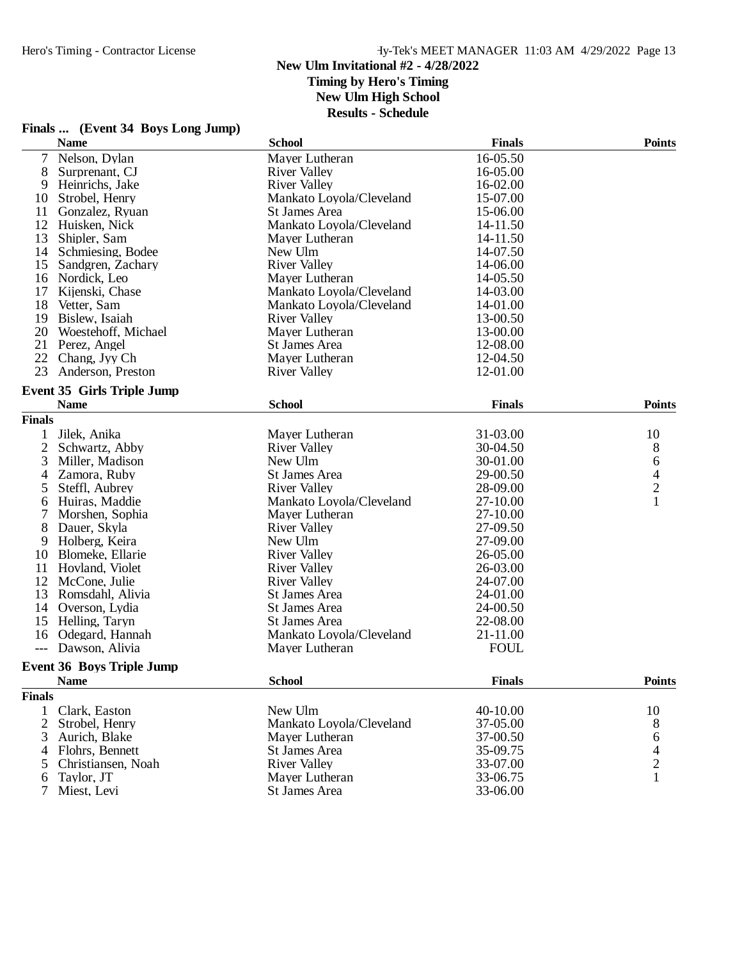**Finals ... (Event 34 Boys Long Jump)**

## Hero's Timing - Contractor License Hy-Tek's MEET MANAGER 11:03 AM 4/29/2022 Page 13

#### **New Ulm Invitational #2 - 4/28/2022 Timing by Hero's Timing**

**New Ulm High School**

|                | <b>Name</b>                       | <b>School</b>            | <b>Finals</b> | <b>Points</b>  |
|----------------|-----------------------------------|--------------------------|---------------|----------------|
| $\overline{7}$ | Nelson, Dylan                     | Mayer Lutheran           | 16-05.50      |                |
| 8              | Surprenant, CJ                    | <b>River Valley</b>      | 16-05.00      |                |
| 9              | Heinrichs, Jake                   | <b>River Valley</b>      | 16-02.00      |                |
| 10             | Strobel, Henry                    | Mankato Loyola/Cleveland | 15-07.00      |                |
| 11             | Gonzalez, Ryuan                   | St James Area            | 15-06.00      |                |
| 12             | Huisken, Nick                     | Mankato Loyola/Cleveland | 14-11.50      |                |
| 13             | Shipler, Sam                      | Mayer Lutheran           | 14-11.50      |                |
| 14             | Schmiesing, Bodee                 | New Ulm                  | 14-07.50      |                |
| 15             | Sandgren, Zachary                 | <b>River Valley</b>      | 14-06.00      |                |
|                | 16 Nordick, Leo                   | Mayer Lutheran           | 14-05.50      |                |
| 17             | Kijenski, Chase                   | Mankato Loyola/Cleveland | 14-03.00      |                |
| 18             | Vetter, Sam                       | Mankato Loyola/Cleveland | 14-01.00      |                |
| 19             | Bislew, Isaiah                    | <b>River Valley</b>      | 13-00.50      |                |
| 20             | Woestehoff, Michael               | Mayer Lutheran           | 13-00.00      |                |
| 21             | Perez, Angel                      | St James Area            | 12-08.00      |                |
| 22             | Chang, Jyy Ch                     | Mayer Lutheran           | 12-04.50      |                |
| 23             | Anderson, Preston                 | <b>River Valley</b>      | 12-01.00      |                |
|                |                                   |                          |               |                |
|                | <b>Event 35 Girls Triple Jump</b> |                          |               |                |
|                | <b>Name</b>                       | <b>School</b>            | <b>Finals</b> | <b>Points</b>  |
| <b>Finals</b>  |                                   |                          |               |                |
| 1              | Jilek, Anika                      | Mayer Lutheran           | 31-03.00      | 10             |
| $\overline{2}$ | Schwartz, Abby                    | <b>River Valley</b>      | 30-04.50      | 8              |
| 3              | Miller, Madison                   | New Ulm                  | 30-01.00      | 6              |
| 4              | Zamora, Ruby                      | St James Area            | 29-00.50      | $\overline{4}$ |
| 5              | Steffl, Aubrey                    | <b>River Valley</b>      | 28-09.00      | $\overline{c}$ |
| 6              | Huiras, Maddie                    | Mankato Loyola/Cleveland | 27-10.00      | $\mathbf{1}$   |
| 7              | Morshen, Sophia                   | Mayer Lutheran           | 27-10.00      |                |
| 8              | Dauer, Skyla                      | <b>River Valley</b>      | 27-09.50      |                |
| 9              | Holberg, Keira                    | New Ulm                  | 27-09.00      |                |
| 10             | Blomeke, Ellarie                  | <b>River Valley</b>      | 26-05.00      |                |
| 11             | Hovland, Violet                   | <b>River Valley</b>      | 26-03.00      |                |
|                | 12 McCone, Julie                  | <b>River Valley</b>      | 24-07.00      |                |
| 13             | Romsdahl, Alivia                  | St James Area            | 24-01.00      |                |
|                | 14 Overson, Lydia                 | <b>St James Area</b>     | 24-00.50      |                |
|                | 15 Helling, Taryn                 | St James Area            | 22-08.00      |                |
| 16             | Odegard, Hannah                   | Mankato Loyola/Cleveland | 21-11.00      |                |
| $---$          | Dawson, Alivia                    | Mayer Lutheran           | <b>FOUL</b>   |                |
|                |                                   |                          |               |                |
|                | <b>Event 36 Boys Triple Jump</b>  |                          |               |                |
|                | <b>Name</b>                       | <b>School</b>            | <b>Finals</b> | Points         |
| <b>Finals</b>  |                                   |                          |               |                |
| $\mathbf{1}$   | Clark, Easton                     | New Ulm                  | 40-10.00      | 10             |
| $\overline{2}$ | Strobel, Henry                    | Mankato Loyola/Cleveland | 37-05.00      | 8              |
| 3              | Aurich, Blake                     | Mayer Lutheran           | 37-00.50      | 6              |
| 4              | Flohrs, Bennett                   | St James Area            | 35-09.75      | 4              |
| 5              | Christiansen, Noah                | <b>River Valley</b>      | 33-07.00      | $\frac{2}{1}$  |
| 6              | Taylor, JT                        | Mayer Lutheran           | 33-06.75      |                |
| 7              | Miest, Levi                       | <b>St James Area</b>     | 33-06.00      |                |